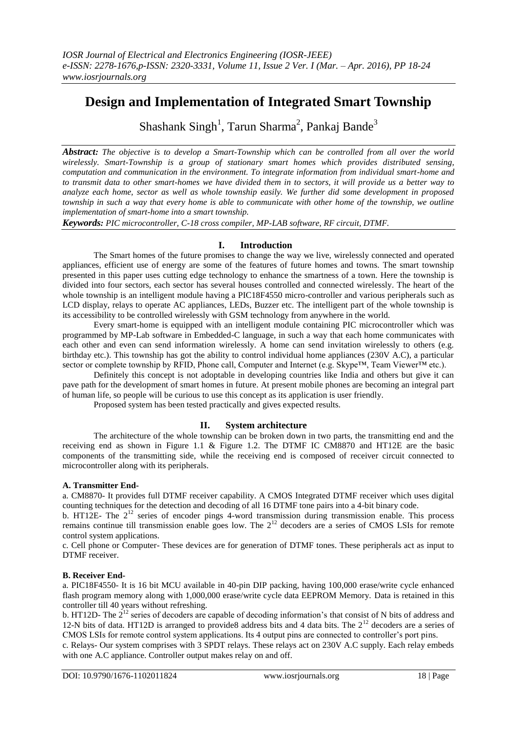# **Design and Implementation of Integrated Smart Township**

Shashank Singh<sup>1</sup>, Tarun Sharma<sup>2</sup>, Pankaj Bande<sup>3</sup>

*Abstract: The objective is to develop a Smart-Township which can be controlled from all over the world wirelessly. Smart-Township is a group of stationary smart homes which provides distributed sensing, computation and communication in the environment. To integrate information from individual smart-home and to transmit data to other smart-homes we have divided them in to sectors, it will provide us a better way to analyze each home, sector as well as whole township easily. We further did some development in proposed township in such a way that every home is able to communicate with other home of the township, we outline implementation of smart-home into a smart township.*

*Keywords: PIC microcontroller, C-18 cross compiler, MP-LAB software, RF circuit, DTMF.*

# **I. Introduction**

The Smart homes of the future promises to change the way we live, wirelessly connected and operated appliances, efficient use of energy are some of the features of future homes and towns. The smart township presented in this paper uses cutting edge technology to enhance the smartness of a town. Here the township is divided into four sectors, each sector has several houses controlled and connected wirelessly. The heart of the whole township is an intelligent module having a PIC18F4550 micro-controller and various peripherals such as LCD display, relays to operate AC appliances, LEDs, Buzzer etc. The intelligent part of the whole township is its accessibility to be controlled wirelessly with GSM technology from anywhere in the world.

Every smart-home is equipped with an intelligent module containing PIC microcontroller which was programmed by MP-Lab software in Embedded-C language, in such a way that each home communicates with each other and even can send information wirelessly. A home can send invitation wirelessly to others (e.g. birthday etc.). This township has got the ability to control individual home appliances (230V A.C), a particular sector or complete township by RFID, Phone call, Computer and Internet (e.g. Skype™, Team Viewer™ etc.).

Definitely this concept is not adoptable in developing countries like India and others but give it can pave path for the development of smart homes in future. At present mobile phones are becoming an integral part of human life, so people will be curious to use this concept as its application is user friendly.

Proposed system has been tested practically and gives expected results.

## **II. System architecture**

The architecture of the whole township can be broken down in two parts, the transmitting end and the receiving end as shown in Figure 1.1 & Figure 1.2. The DTMF IC CM8870 and HT12E are the basic components of the transmitting side, while the receiving end is composed of receiver circuit connected to microcontroller along with its peripherals.

#### **A. Transmitter End-**

a. CM8870- It provides full DTMF receiver capability. A CMOS Integrated DTMF receiver which uses digital counting techniques for the detection and decoding of all 16 DTMF tone pairs into a 4-bit binary code.

b. HT12E- The 2<sup>12</sup> series of encoder pings 4-word transmission during transmission enable. This process remains continue till transmission enable goes low. The  $2^{12}$  decoders are a series of CMOS LSIs for remote control system applications.

c. Cell phone or Computer- These devices are for generation of DTMF tones. These peripherals act as input to DTMF receiver.

#### **B. Receiver End-**

a. PIC18F4550- It is 16 bit MCU available in 40-pin DIP packing, having 100,000 erase/write cycle enhanced flash program memory along with 1,000,000 erase/write cycle data EEPROM Memory. Data is retained in this controller till 40 years without refreshing.

b. HT12D- The  $2^{12}$  series of decoders are capable of decoding information's that consist of N bits of address and 12-N bits of data. HT12D is arranged to provide8 address bits and 4 data bits. The  $2^{12}$  decoders are a series of CMOS LSIs for remote control system applications. Its 4 output pins are connected to controller's port pins.

c. Relays- Our system comprises with 3 SPDT relays. These relays act on 230V A.C supply. Each relay embeds with one A.C appliance. Controller output makes relay on and off.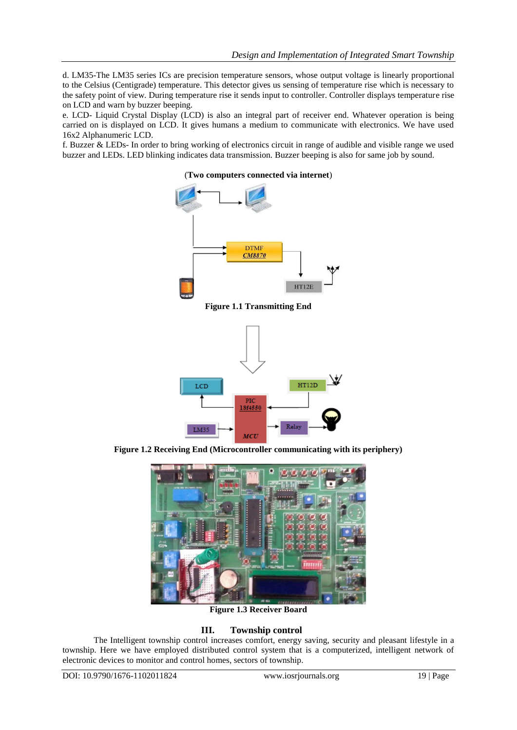d. LM35-The LM35 series ICs are precision temperature sensors, whose output voltage is linearly proportional to the Celsius (Centigrade) temperature. This detector gives us sensing of temperature rise which is necessary to the safety point of view. During temperature rise it sends input to controller. Controller displays temperature rise on LCD and warn by buzzer beeping.

e. LCD- Liquid Crystal Display (LCD) is also an integral part of receiver end. Whatever operation is being carried on is displayed on LCD. It gives humans a medium to communicate with electronics. We have used 16x2 Alphanumeric LCD.

f. Buzzer & LEDs- In order to bring working of electronics circuit in range of audible and visible range we used buzzer and LEDs. LED blinking indicates data transmission. Buzzer beeping is also for same job by sound.



**Figure 1.1 Transmitting End**



**Figure 1.2 Receiving End (Microcontroller communicating with its periphery)**



**Figure 1.3 Receiver Board**

# **III. Township control**

The Intelligent township control increases comfort, energy saving, security and pleasant lifestyle in a township. Here we have employed distributed control system that is a computerized, intelligent network of electronic devices to monitor and control homes, sectors of township.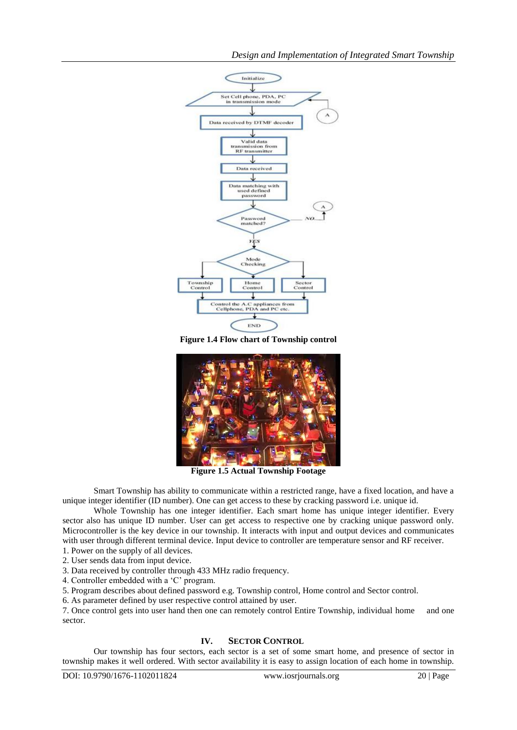

**Figure 1.4 Flow chart of Township control**



**Figure 1.5 Actual Township Footage**

Smart Township has ability to communicate within a restricted range, have a fixed location, and have a unique integer identifier (ID number). One can get access to these by cracking password i.e. unique id.

Whole Township has one integer identifier. Each smart home has unique integer identifier. Every sector also has unique ID number. User can get access to respective one by cracking unique password only. Microcontroller is the key device in our township. It interacts with input and output devices and communicates with user through different terminal device. Input device to controller are temperature sensor and RF receiver.

1. Power on the supply of all devices. 2. User sends data from input device.

3. Data received by controller through 433 MHz radio frequency.

4. Controller embedded with a 'C' program.

5. Program describes about defined password e.g. Township control, Home control and Sector control.

6. As parameter defined by user respective control attained by user.

7. Once control gets into user hand then one can remotely control Entire Township, individual home and one sector.

# **IV. SECTOR CONTROL**

Our township has four sectors, each sector is a set of some smart home, and presence of sector in township makes it well ordered. With sector availability it is easy to assign location of each home in township.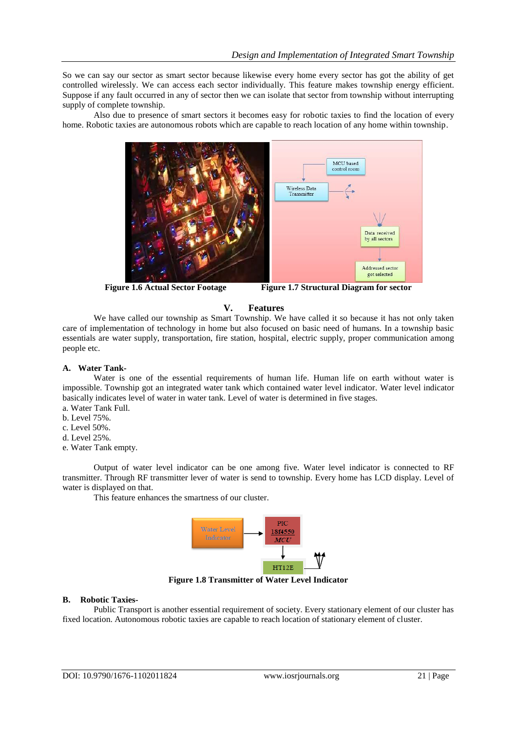So we can say our sector as smart sector because likewise every home every sector has got the ability of get controlled wirelessly. We can access each sector individually. This feature makes township energy efficient. Suppose if any fault occurred in any of sector then we can isolate that sector from township without interrupting supply of complete township.

Also due to presence of smart sectors it becomes easy for robotic taxies to find the location of every home. Robotic taxies are autonomous robots which are capable to reach location of any home within township.



**Figure 1.6 Actual Sector Footage Figure 1.7 Structural Diagram for sector**

## **V. Features**

We have called our township as Smart Township. We have called it so because it has not only taken care of implementation of technology in home but also focused on basic need of humans. In a township basic essentials are water supply, transportation, fire station, hospital, electric supply, proper communication among people etc.

#### **A. Water Tank-**

Water is one of the essential requirements of human life. Human life on earth without water is impossible. Township got an integrated water tank which contained water level indicator. Water level indicator basically indicates level of water in water tank. Level of water is determined in five stages.

- a. Water Tank Full.
- b. Level 75%.
- c. Level 50%.
- d. Level 25%.
- e. Water Tank empty.

Output of water level indicator can be one among five. Water level indicator is connected to RF transmitter. Through RF transmitter lever of water is send to township. Every home has LCD display. Level of water is displayed on that.

This feature enhances the smartness of our cluster.



**Figure 1.8 Transmitter of Water Level Indicator**

#### **B. Robotic Taxies-**

Public Transport is another essential requirement of society. Every stationary element of our cluster has fixed location. Autonomous robotic taxies are capable to reach location of stationary element of cluster.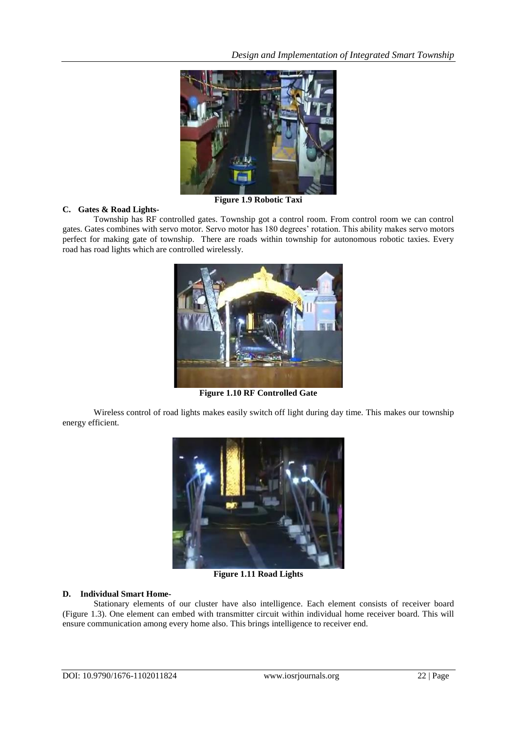![](_page_4_Picture_1.jpeg)

**Figure 1.9 Robotic Taxi**

#### **C. Gates & Road Lights-**

Township has RF controlled gates. Township got a control room. From control room we can control gates. Gates combines with servo motor. Servo motor has 180 degrees' rotation. This ability makes servo motors perfect for making gate of township. There are roads within township for autonomous robotic taxies. Every road has road lights which are controlled wirelessly.

![](_page_4_Picture_5.jpeg)

**Figure 1.10 RF Controlled Gate**

Wireless control of road lights makes easily switch off light during day time. This makes our township energy efficient.

![](_page_4_Picture_8.jpeg)

**Figure 1.11 Road Lights**

#### **D. Individual Smart Home-**

Stationary elements of our cluster have also intelligence. Each element consists of receiver board (Figure 1.3). One element can embed with transmitter circuit within individual home receiver board. This will ensure communication among every home also. This brings intelligence to receiver end.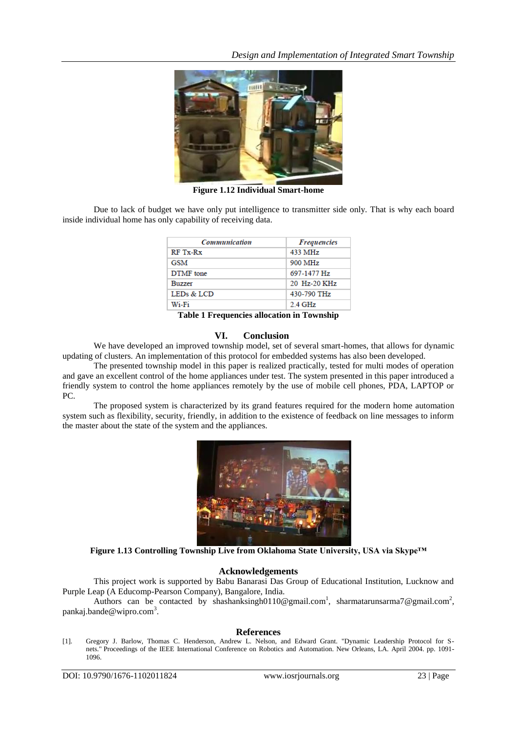![](_page_5_Picture_1.jpeg)

**Figure 1.12 Individual Smart-home**

Due to lack of budget we have only put intelligence to transmitter side only. That is why each board inside individual home has only capability of receiving data.

| <b>Communication</b> | <b>Frequencies</b> |
|----------------------|--------------------|
| RF Tx-Rx             | 433 MHz            |
| GSM                  | 900 MHz            |
| <b>DTMF</b> tone     | 697-1477 Hz        |
| <b>Buzzer</b>        | 20 Hz-20 KHz       |
| LEDs & LCD           | 430-790 THz        |
| Wi-Fi                | 2.4 GHz            |

**Table 1 Frequencies allocation in Township**

#### **VI. Conclusion**

We have developed an improved township model, set of several smart-homes, that allows for dynamic updating of clusters. An implementation of this protocol for embedded systems has also been developed.

The presented township model in this paper is realized practically, tested for multi modes of operation and gave an excellent control of the home appliances under test. The system presented in this paper introduced a friendly system to control the home appliances remotely by the use of mobile cell phones, PDA, LAPTOP or PC.

The proposed system is characterized by its grand features required for the modern home automation system such as flexibility, security, friendly, in addition to the existence of feedback on line messages to inform the master about the state of the system and the appliances.

![](_page_5_Picture_10.jpeg)

**Figure 1.13 Controlling Township Live from Oklahoma State University, USA via Skype™**

## **Acknowledgements**

This project work is supported by Babu Banarasi Das Group of Educational Institution, Lucknow and Purple Leap (A Educomp-Pearson Company), Bangalore, India.

Authors can be contacted by shashanksingh0110@gmail.com<sup>1</sup>, sharmatarunsarma7@gmail.com<sup>2</sup>, pankaj.bande@wipro.com<sup>3</sup>.

## **References**

[1]. Gregory J. Barlow, Thomas C. Henderson, Andrew L. Nelson, and Edward Grant. "Dynamic Leadership Protocol for Snets." Proceedings of the IEEE International Conference on Robotics and Automation. New Orleans, LA. April 2004. pp. 1091- 1096.